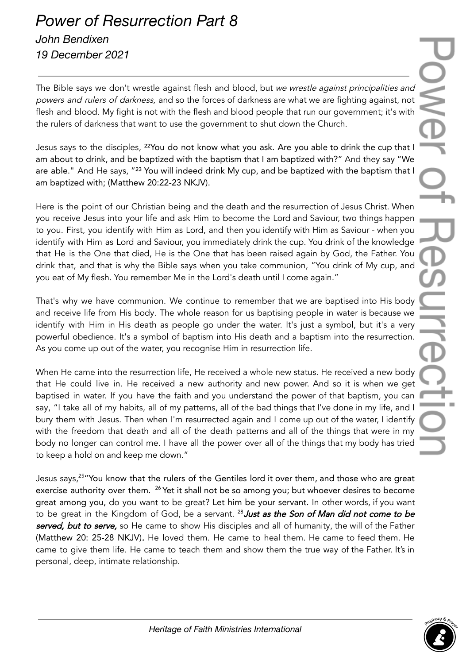## *Power of Resurrection Part 8 John Bendixen 19 December 2021*

The Bible says we don't wrestle against flesh and blood, but we wrestle against principalities and powers and rulers of darkness, and so the forces of darkness are what we are fighting against, not flesh and blood. My fight is not with the flesh and blood people that run our government; it's with the rulers of darkness that want to use the government to shut down the Church.

Jesus says to the disciples, <sup>22</sup>You do not know what you ask. Are you able to drink the cup that I am about to drink, and be baptized with the baptism that I am baptized with?" And they say "We are able." And He says, "<sup>23</sup> You will indeed drink My cup, and be baptized with the baptism that I am baptized with; (Matthew 20:22-23 NKJV).

Here is the point of our Christian being and the death and the resurrection of Jesus Christ. When you receive Jesus into your life and ask Him to become the Lord and Saviour, two things happen to you. First, you identify with Him as Lord, and then you identify with Him as Saviour - when you identify with Him as Lord and Saviour, you immediately drink the cup. You drink of the knowledge that He is the One that died, He is the One that has been raised again by God, the Father. You drink that, and that is why the Bible says when you take communion, "You drink of My cup, and you eat of My flesh. You remember Me in the Lord's death until I come again."

That's why we have communion. We continue to remember that we are baptised into His body and receive life from His body. The whole reason for us baptising people in water is because we identify with Him in His death as people go under the water. It's just a symbol, but it's a very powerful obedience. It's a symbol of baptism into His death and a baptism into the resurrection. As you come up out of the water, you recognise Him in resurrection life.

When He came into the resurrection life, He received a whole new status. He received a new body that He could live in. He received a new authority and new power. And so it is when we get baptised in water. If you have the faith and you understand the power of that baptism, you can say, "I take all of my habits, all of my patterns, all of the bad things that I've done in my life, and I bury them with Jesus. Then when I'm resurrected again and I come up out of the water, I identify with the freedom that death and all of the death patterns and all of the things that were in my body no longer can control me. I have all the power over all of the things that my body has tried to keep a hold on and keep me down."

Jesus says,<sup>25</sup> "You know that the rulers of the Gentiles lord it over them, and those who are great exercise authority over them. <sup>26</sup> Yet it shall not be so among you; but whoever desires to become great among you, do you want to be great? Let him be your servant. In other words, if you want to be great in the Kingdom of God, be a servant. <sup>28</sup> **Just as the Son of Man did not come to be** served, but to serve, so He came to show His disciples and all of humanity, the will of the Father (Matthew 20: 25-28 NKJV). He loved them. He came to heal them. He came to feed them. He came to give them life. He came to teach them and show them the true way of the Father. It's in personal, deep, intimate relationship.